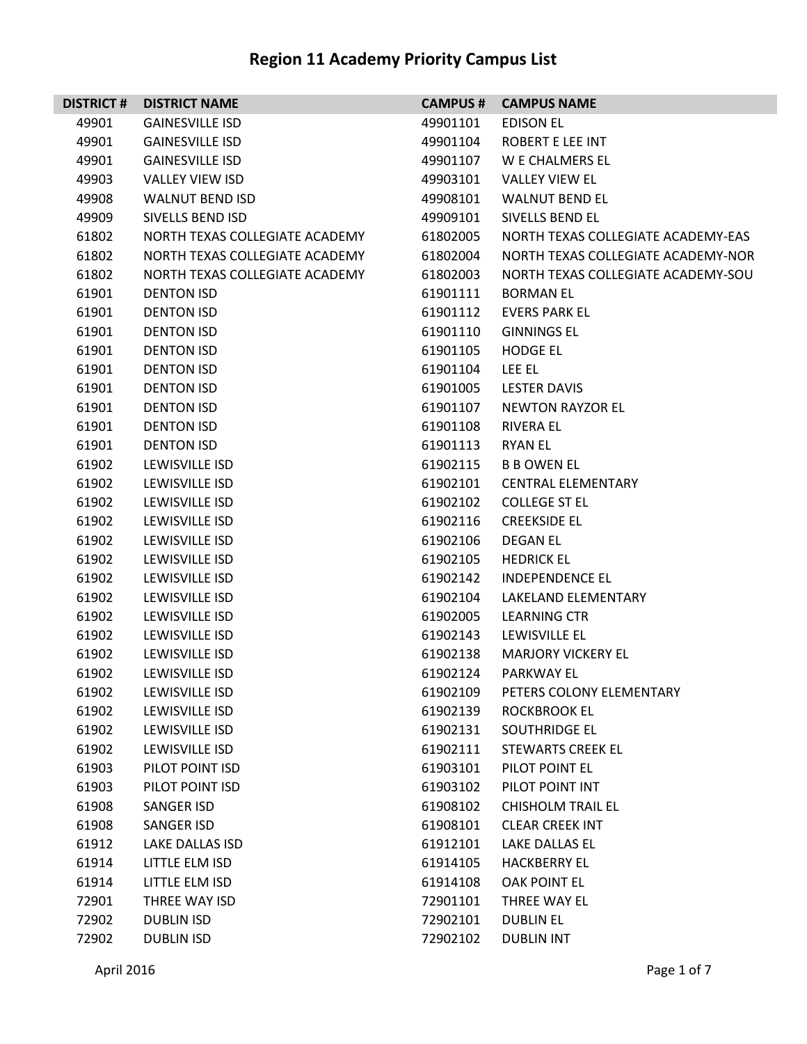| <b>DISTRICT#</b> | <b>DISTRICT NAME</b>           | <b>CAMPUS #</b> | <b>CAMPUS NAME</b>                 |
|------------------|--------------------------------|-----------------|------------------------------------|
| 49901            | <b>GAINESVILLE ISD</b>         | 49901101        | <b>EDISON EL</b>                   |
| 49901            | <b>GAINESVILLE ISD</b>         | 49901104        | ROBERT E LEE INT                   |
| 49901            | <b>GAINESVILLE ISD</b>         | 49901107        | W E CHALMERS EL                    |
| 49903            | <b>VALLEY VIEW ISD</b>         | 49903101        | <b>VALLEY VIEW EL</b>              |
| 49908            | <b>WALNUT BEND ISD</b>         | 49908101        | <b>WALNUT BEND EL</b>              |
| 49909            | SIVELLS BEND ISD               | 49909101        | SIVELLS BEND EL                    |
| 61802            | NORTH TEXAS COLLEGIATE ACADEMY | 61802005        | NORTH TEXAS COLLEGIATE ACADEMY-EAS |
| 61802            | NORTH TEXAS COLLEGIATE ACADEMY | 61802004        | NORTH TEXAS COLLEGIATE ACADEMY-NOR |
| 61802            | NORTH TEXAS COLLEGIATE ACADEMY | 61802003        | NORTH TEXAS COLLEGIATE ACADEMY-SOU |
| 61901            | <b>DENTON ISD</b>              | 61901111        | <b>BORMAN EL</b>                   |
| 61901            | <b>DENTON ISD</b>              | 61901112        | <b>EVERS PARK EL</b>               |
| 61901            | <b>DENTON ISD</b>              | 61901110        | <b>GINNINGS EL</b>                 |
| 61901            | <b>DENTON ISD</b>              | 61901105        | <b>HODGE EL</b>                    |
| 61901            | <b>DENTON ISD</b>              | 61901104        | LEE EL                             |
| 61901            | <b>DENTON ISD</b>              | 61901005        | <b>LESTER DAVIS</b>                |
| 61901            | <b>DENTON ISD</b>              | 61901107        | <b>NEWTON RAYZOR EL</b>            |
| 61901            | <b>DENTON ISD</b>              | 61901108        | RIVERA EL                          |
| 61901            | <b>DENTON ISD</b>              | 61901113        | <b>RYAN EL</b>                     |
| 61902            | LEWISVILLE ISD                 | 61902115        | <b>B B OWEN EL</b>                 |
| 61902            | LEWISVILLE ISD                 | 61902101        | <b>CENTRAL ELEMENTARY</b>          |
| 61902            | LEWISVILLE ISD                 | 61902102        | <b>COLLEGE ST EL</b>               |
| 61902            | LEWISVILLE ISD                 | 61902116        | <b>CREEKSIDE EL</b>                |
| 61902            | LEWISVILLE ISD                 | 61902106        | <b>DEGAN EL</b>                    |
| 61902            | LEWISVILLE ISD                 | 61902105        | <b>HEDRICK EL</b>                  |
| 61902            | LEWISVILLE ISD                 | 61902142        | <b>INDEPENDENCE EL</b>             |
| 61902            | LEWISVILLE ISD                 | 61902104        | LAKELAND ELEMENTARY                |
| 61902            | LEWISVILLE ISD                 | 61902005        | LEARNING CTR                       |
| 61902            | LEWISVILLE ISD                 | 61902143        | LEWISVILLE EL                      |
| 61902            | LEWISVILLE ISD                 | 61902138        | <b>MARJORY VICKERY EL</b>          |
| 61902            | <b>LEWISVILLE ISD</b>          | 61902124        | <b>PARKWAY EL</b>                  |
| 61902            | LEWISVILLE ISD                 | 61902109        | PETERS COLONY ELEMENTARY           |
| 61902            | LEWISVILLE ISD                 | 61902139        | <b>ROCKBROOK EL</b>                |
| 61902            | LEWISVILLE ISD                 | 61902131        | SOUTHRIDGE EL                      |
| 61902            | LEWISVILLE ISD                 | 61902111        | <b>STEWARTS CREEK EL</b>           |
| 61903            | PILOT POINT ISD                | 61903101        | PILOT POINT EL                     |
| 61903            | PILOT POINT ISD                | 61903102        | PILOT POINT INT                    |
| 61908            | <b>SANGER ISD</b>              | 61908102        | <b>CHISHOLM TRAIL EL</b>           |
| 61908            | <b>SANGER ISD</b>              | 61908101        | <b>CLEAR CREEK INT</b>             |
| 61912            | <b>LAKE DALLAS ISD</b>         | 61912101        | LAKE DALLAS EL                     |
| 61914            | LITTLE ELM ISD                 | 61914105        | <b>HACKBERRY EL</b>                |
| 61914            | LITTLE ELM ISD                 | 61914108        | <b>OAK POINT EL</b>                |
| 72901            | THREE WAY ISD                  | 72901101        | THREE WAY EL                       |
| 72902            | <b>DUBLIN ISD</b>              | 72902101        | <b>DUBLIN EL</b>                   |
| 72902            | <b>DUBLIN ISD</b>              | 72902102        | <b>DUBLIN INT</b>                  |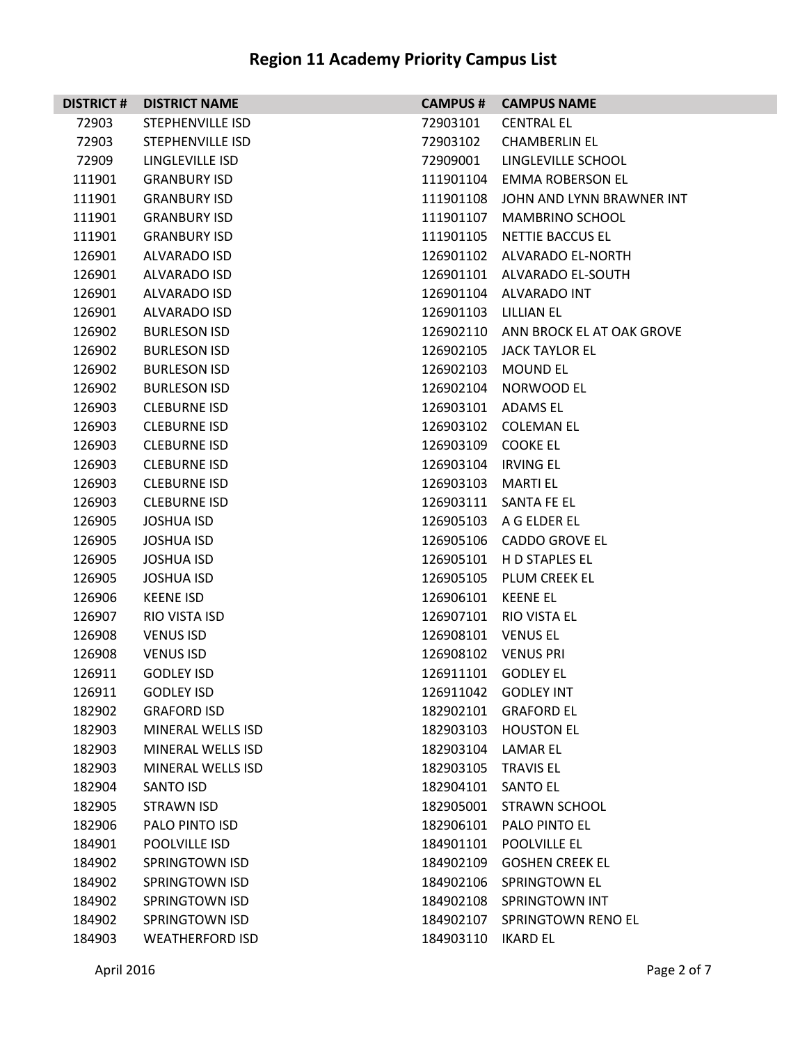| <b>DISTRICT #</b> | <b>DISTRICT NAME</b>    | <b>CAMPUS #</b>      | <b>CAMPUS NAME</b>        |
|-------------------|-------------------------|----------------------|---------------------------|
| 72903             | STEPHENVILLE ISD        | 72903101             | <b>CENTRAL EL</b>         |
| 72903             | <b>STEPHENVILLE ISD</b> | 72903102             | <b>CHAMBERLIN EL</b>      |
| 72909             | LINGLEVILLE ISD         | 72909001             | LINGLEVILLE SCHOOL        |
| 111901            | <b>GRANBURY ISD</b>     | 111901104            | EMMA ROBERSON EL          |
| 111901            | <b>GRANBURY ISD</b>     | 111901108            | JOHN AND LYNN BRAWNER INT |
| 111901            | <b>GRANBURY ISD</b>     | 111901107            | MAMBRINO SCHOOL           |
| 111901            | <b>GRANBURY ISD</b>     | 111901105            | <b>NETTIE BACCUS EL</b>   |
| 126901            | <b>ALVARADO ISD</b>     | 126901102            | ALVARADO EL-NORTH         |
| 126901            | ALVARADO ISD            | 126901101            | ALVARADO EL-SOUTH         |
| 126901            | ALVARADO ISD            |                      | 126901104 ALVARADO INT    |
| 126901            | ALVARADO ISD            | 126901103 LILLIAN EL |                           |
| 126902            | <b>BURLESON ISD</b>     | 126902110            | ANN BROCK EL AT OAK GROVE |
| 126902            | <b>BURLESON ISD</b>     | 126902105            | <b>JACK TAYLOR EL</b>     |
| 126902            | <b>BURLESON ISD</b>     | 126902103            | <b>MOUND EL</b>           |
| 126902            | <b>BURLESON ISD</b>     | 126902104            | NORWOOD EL                |
| 126903            | <b>CLEBURNE ISD</b>     | 126903101            | ADAMS EL                  |
| 126903            | <b>CLEBURNE ISD</b>     | 126903102            | COLEMAN EL                |
| 126903            | <b>CLEBURNE ISD</b>     | 126903109            | <b>COOKE EL</b>           |
| 126903            | <b>CLEBURNE ISD</b>     | 126903104            | IRVING EL                 |
| 126903            | <b>CLEBURNE ISD</b>     | 126903103            | <b>MARTI EL</b>           |
| 126903            | <b>CLEBURNE ISD</b>     |                      | 126903111 SANTA FE EL     |
| 126905            | <b>JOSHUA ISD</b>       | 126905103            | A G ELDER EL              |
| 126905            | <b>JOSHUA ISD</b>       | 126905106            | <b>CADDO GROVE EL</b>     |
| 126905            | <b>JOSHUA ISD</b>       | 126905101            | H D STAPLES EL            |
| 126905            | <b>JOSHUA ISD</b>       | 126905105            | PLUM CREEK EL             |
| 126906            | <b>KEENE ISD</b>        | 126906101            | KEENE EL                  |
| 126907            | RIO VISTA ISD           | 126907101            | RIO VISTA EL              |
| 126908            | <b>VENUS ISD</b>        | 126908101            | <b>VENUS EL</b>           |
| 126908            | <b>VENUS ISD</b>        | 126908102            | <b>VENUS PRI</b>          |
| 126911            | <b>GODLEY ISD</b>       | 126911101 GODLEY EL  |                           |
| 126911            | <b>GODLEY ISD</b>       | 126911042            | <b>GODLEY INT</b>         |
| 182902            | <b>GRAFORD ISD</b>      | 182902101            | <b>GRAFORD EL</b>         |
| 182903            | MINERAL WELLS ISD       | 182903103            | <b>HOUSTON EL</b>         |
| 182903            | MINERAL WELLS ISD       | 182903104            | <b>LAMAR EL</b>           |
| 182903            | MINERAL WELLS ISD       | 182903105            | <b>TRAVIS EL</b>          |
| 182904            | SANTO ISD               | 182904101            | <b>SANTO EL</b>           |
| 182905            | STRAWN ISD              | 182905001            | <b>STRAWN SCHOOL</b>      |
| 182906            | PALO PINTO ISD          | 182906101            | PALO PINTO EL             |
| 184901            | POOLVILLE ISD           | 184901101            | POOLVILLE EL              |
| 184902            | <b>SPRINGTOWN ISD</b>   | 184902109            | <b>GOSHEN CREEK EL</b>    |
| 184902            | <b>SPRINGTOWN ISD</b>   | 184902106            | <b>SPRINGTOWN EL</b>      |
| 184902            | <b>SPRINGTOWN ISD</b>   | 184902108            | <b>SPRINGTOWN INT</b>     |
| 184902            | <b>SPRINGTOWN ISD</b>   | 184902107            | SPRINGTOWN RENO EL        |
| 184903            | <b>WEATHERFORD ISD</b>  | 184903110            | <b>IKARD EL</b>           |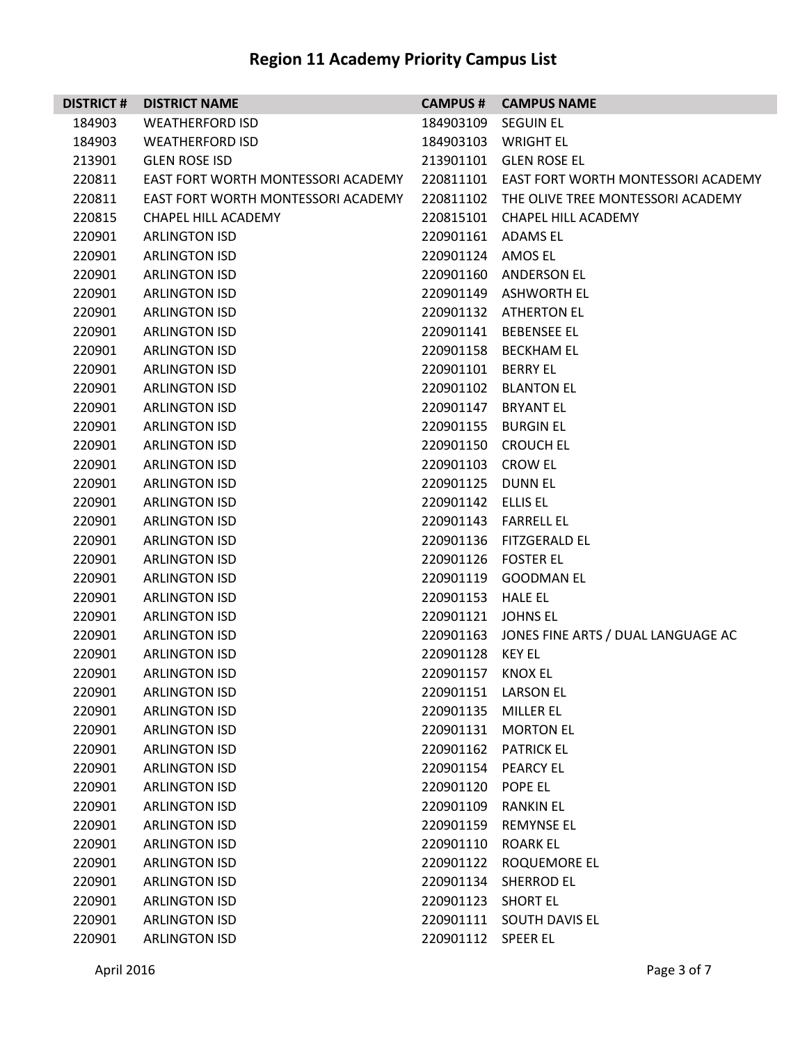| <b>DISTRICT#</b> | <b>DISTRICT NAME</b>               |                     | <b>CAMPUS # CAMPUS NAME</b>                  |
|------------------|------------------------------------|---------------------|----------------------------------------------|
| 184903           | <b>WEATHERFORD ISD</b>             | 184903109 SEGUIN EL |                                              |
| 184903           | <b>WEATHERFORD ISD</b>             |                     | 184903103 WRIGHT EL                          |
| 213901           | <b>GLEN ROSE ISD</b>               |                     | 213901101 GLEN ROSE EL                       |
| 220811           | EAST FORT WORTH MONTESSORI ACADEMY |                     | 220811101 EAST FORT WORTH MONTESSORI ACADEMY |
| 220811           | EAST FORT WORTH MONTESSORI ACADEMY |                     | 220811102 THE OLIVE TREE MONTESSORI ACADEMY  |
| 220815           | CHAPEL HILL ACADEMY                |                     | 220815101 CHAPEL HILL ACADEMY                |
| 220901           | <b>ARLINGTON ISD</b>               | 220901161 ADAMS EL  |                                              |
| 220901           | <b>ARLINGTON ISD</b>               | 220901124 AMOS EL   |                                              |
| 220901           | <b>ARLINGTON ISD</b>               |                     | 220901160 ANDERSON EL                        |
| 220901           | <b>ARLINGTON ISD</b>               |                     | 220901149 ASHWORTH EL                        |
| 220901           | <b>ARLINGTON ISD</b>               |                     | 220901132 ATHERTON EL                        |
| 220901           | <b>ARLINGTON ISD</b>               |                     | 220901141 BEBENSEE EL                        |
| 220901           | <b>ARLINGTON ISD</b>               |                     | 220901158 BECKHAM EL                         |
| 220901           | <b>ARLINGTON ISD</b>               | 220901101 BERRY EL  |                                              |
| 220901           | <b>ARLINGTON ISD</b>               |                     | 220901102 BLANTON EL                         |
| 220901           | <b>ARLINGTON ISD</b>               | 220901147 BRYANT EL |                                              |
| 220901           | <b>ARLINGTON ISD</b>               | 220901155 BURGIN EL |                                              |
| 220901           | <b>ARLINGTON ISD</b>               |                     | 220901150 CROUCH EL                          |
| 220901           | <b>ARLINGTON ISD</b>               | 220901103 CROW EL   |                                              |
| 220901           | <b>ARLINGTON ISD</b>               | 220901125 DUNN EL   |                                              |
| 220901           | <b>ARLINGTON ISD</b>               | 220901142 ELLIS EL  |                                              |
| 220901           | <b>ARLINGTON ISD</b>               |                     | 220901143 FARRELL EL                         |
| 220901           | <b>ARLINGTON ISD</b>               |                     | 220901136 FITZGERALD EL                      |
| 220901           | <b>ARLINGTON ISD</b>               | 220901126 FOSTER EL |                                              |
| 220901           | <b>ARLINGTON ISD</b>               |                     | 220901119 GOODMAN EL                         |
| 220901           | <b>ARLINGTON ISD</b>               | 220901153 HALE EL   |                                              |
| 220901           | <b>ARLINGTON ISD</b>               | 220901121 JOHNS EL  |                                              |
| 220901           | <b>ARLINGTON ISD</b>               |                     | 220901163 JONES FINE ARTS / DUAL LANGUAGE AC |
| 220901           | <b>ARLINGTON ISD</b>               | 220901128           | KEY EL                                       |
| 220901           | <b>ARLINGTON ISD</b>               | 220901157 KNOX EL   |                                              |
| 220901           | <b>ARLINGTON ISD</b>               | 220901151           | <b>LARSON EL</b>                             |
| 220901           | <b>ARLINGTON ISD</b>               | 220901135           | <b>MILLER EL</b>                             |
| 220901           | <b>ARLINGTON ISD</b>               | 220901131           | <b>MORTON EL</b>                             |
| 220901           | <b>ARLINGTON ISD</b>               | 220901162           | <b>PATRICK EL</b>                            |
| 220901           | <b>ARLINGTON ISD</b>               | 220901154           | <b>PEARCY EL</b>                             |
| 220901           | <b>ARLINGTON ISD</b>               | 220901120           | POPE EL                                      |
| 220901           | <b>ARLINGTON ISD</b>               | 220901109           | <b>RANKIN EL</b>                             |
| 220901           | <b>ARLINGTON ISD</b>               | 220901159           | <b>REMYNSE EL</b>                            |
| 220901           | <b>ARLINGTON ISD</b>               | 220901110           | <b>ROARK EL</b>                              |
| 220901           | <b>ARLINGTON ISD</b>               | 220901122           | ROQUEMORE EL                                 |
| 220901           | <b>ARLINGTON ISD</b>               | 220901134           | <b>SHERROD EL</b>                            |
| 220901           | <b>ARLINGTON ISD</b>               | 220901123           | <b>SHORT EL</b>                              |
| 220901           | <b>ARLINGTON ISD</b>               | 220901111           | SOUTH DAVIS EL                               |
| 220901           | <b>ARLINGTON ISD</b>               | 220901112           | <b>SPEER EL</b>                              |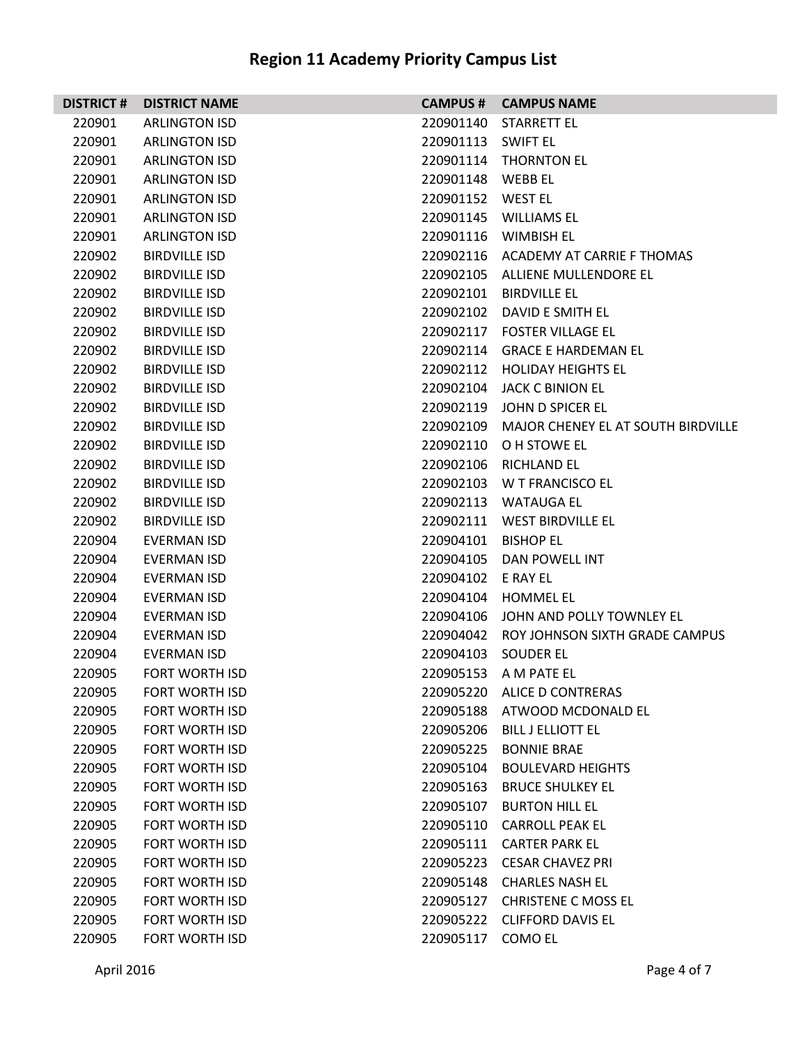| <b>DISTRICT#</b> | <b>DISTRICT NAME</b>  |                    | <b>CAMPUS # CAMPUS NAME</b>                  |
|------------------|-----------------------|--------------------|----------------------------------------------|
| 220901           | <b>ARLINGTON ISD</b>  |                    | 220901140 STARRETT EL                        |
| 220901           | <b>ARLINGTON ISD</b>  | 220901113 SWIFT EL |                                              |
| 220901           | <b>ARLINGTON ISD</b>  |                    | 220901114 THORNTON EL                        |
| 220901           | <b>ARLINGTON ISD</b>  | 220901148 WEBB EL  |                                              |
| 220901           | <b>ARLINGTON ISD</b>  | 220901152 WEST EL  |                                              |
| 220901           | <b>ARLINGTON ISD</b>  |                    | 220901145 WILLIAMS EL                        |
| 220901           | <b>ARLINGTON ISD</b>  |                    | 220901116 WIMBISH EL                         |
| 220902           | <b>BIRDVILLE ISD</b>  |                    | 220902116 ACADEMY AT CARRIE F THOMAS         |
| 220902           | <b>BIRDVILLE ISD</b>  |                    | 220902105 ALLIENE MULLENDORE EL              |
| 220902           | BIRDVILLE ISD         |                    | 220902101 BIRDVILLE EL                       |
| 220902           | BIRDVILLE ISD         |                    | 220902102 DAVID E SMITH EL                   |
| 220902           | <b>BIRDVILLE ISD</b>  |                    | 220902117 FOSTER VILLAGE EL                  |
| 220902           | <b>BIRDVILLE ISD</b>  |                    | 220902114 GRACE E HARDEMAN EL                |
| 220902           | <b>BIRDVILLE ISD</b>  |                    | 220902112 HOLIDAY HEIGHTS EL                 |
| 220902           | <b>BIRDVILLE ISD</b>  |                    | 220902104 JACK C BINION EL                   |
| 220902           | <b>BIRDVILLE ISD</b>  |                    | 220902119 JOHN D SPICER EL                   |
| 220902           | <b>BIRDVILLE ISD</b>  |                    | 220902109 MAJOR CHENEY EL AT SOUTH BIRDVILLE |
| 220902           | <b>BIRDVILLE ISD</b>  |                    | 220902110 O H STOWE EL                       |
| 220902           | BIRDVILLE ISD         |                    | 220902106 RICHLAND EL                        |
| 220902           | BIRDVILLE ISD         |                    | 220902103 W T FRANCISCO EL                   |
| 220902           | BIRDVILLE ISD         |                    | 220902113 WATAUGA EL                         |
| 220902           | <b>BIRDVILLE ISD</b>  |                    | 220902111 WEST BIRDVILLE EL                  |
| 220904           | <b>EVERMAN ISD</b>    | 220904101          | <b>BISHOP EL</b>                             |
| 220904           | <b>EVERMAN ISD</b>    |                    | 220904105 DAN POWELL INT                     |
| 220904           | EVERMAN ISD           | 220904102 E RAY EL |                                              |
| 220904           | EVERMAN ISD           |                    | 220904104 HOMMEL EL                          |
| 220904           | EVERMAN ISD           |                    | 220904106 JOHN AND POLLY TOWNLEY EL          |
| 220904           | <b>EVERMAN ISD</b>    |                    | 220904042 ROY JOHNSON SIXTH GRADE CAMPUS     |
| 220904           | <b>EVERMAN ISD</b>    |                    | 220904103 SOUDER EL                          |
| 220905           | <b>FORT WORTH ISD</b> |                    | 220905153 A M PATE EL                        |
| 220905           | <b>FORT WORTH ISD</b> | 220905220          | ALICE D CONTRERAS                            |
| 220905           | <b>FORT WORTH ISD</b> | 220905188          | ATWOOD MCDONALD EL                           |
| 220905           | <b>FORT WORTH ISD</b> | 220905206          | <b>BILL J ELLIOTT EL</b>                     |
| 220905           | FORT WORTH ISD        | 220905225          | <b>BONNIE BRAE</b>                           |
| 220905           | <b>FORT WORTH ISD</b> | 220905104          | <b>BOULEVARD HEIGHTS</b>                     |
| 220905           | <b>FORT WORTH ISD</b> | 220905163          | <b>BRUCE SHULKEY EL</b>                      |
| 220905           | <b>FORT WORTH ISD</b> | 220905107          | <b>BURTON HILL EL</b>                        |
| 220905           | <b>FORT WORTH ISD</b> | 220905110          | <b>CARROLL PEAK EL</b>                       |
| 220905           | FORT WORTH ISD        | 220905111          | CARTER PARK EL                               |
| 220905           | <b>FORT WORTH ISD</b> | 220905223          | <b>CESAR CHAVEZ PRI</b>                      |
| 220905           | <b>FORT WORTH ISD</b> | 220905148          | <b>CHARLES NASH EL</b>                       |
| 220905           | <b>FORT WORTH ISD</b> | 220905127          | <b>CHRISTENE C MOSS EL</b>                   |
| 220905           | <b>FORT WORTH ISD</b> |                    | 220905222 CLIFFORD DAVIS EL                  |
| 220905           | <b>FORT WORTH ISD</b> | 220905117          | COMO EL                                      |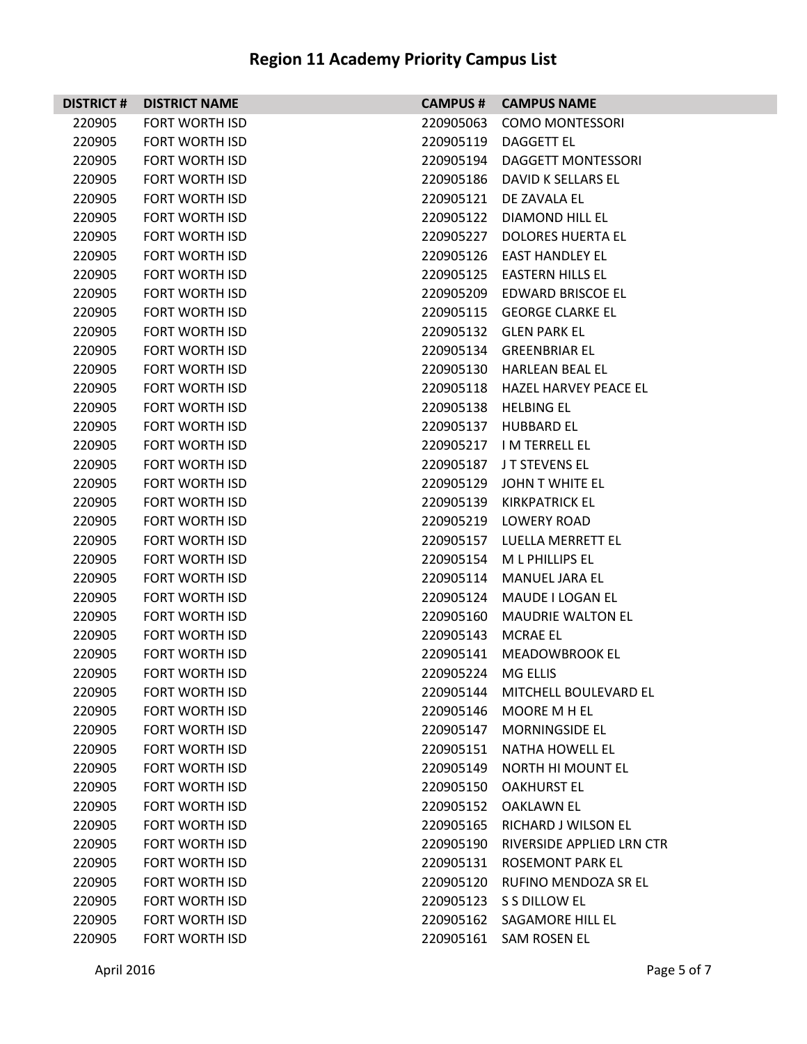| <b>DISTRICT#</b> | <b>DISTRICT NAME</b>  |           | <b>CAMPUS # CAMPUS NAME</b>     |
|------------------|-----------------------|-----------|---------------------------------|
| 220905           | <b>FORT WORTH ISD</b> | 220905063 | <b>COMO MONTESSORI</b>          |
| 220905           | <b>FORT WORTH ISD</b> |           | 220905119 DAGGETT EL            |
| 220905           | FORT WORTH ISD        | 220905194 | <b>DAGGETT MONTESSORI</b>       |
| 220905           | FORT WORTH ISD        |           | 220905186 DAVID K SELLARS EL    |
| 220905           | FORT WORTH ISD        |           | 220905121 DE ZAVALA EL          |
| 220905           | FORT WORTH ISD        |           | 220905122 DIAMOND HILL EL       |
| 220905           | <b>FORT WORTH ISD</b> |           | 220905227 DOLORES HUERTA EL     |
| 220905           | <b>FORT WORTH ISD</b> |           | 220905126 EAST HANDLEY EL       |
| 220905           | FORT WORTH ISD        |           | 220905125 EASTERN HILLS EL      |
| 220905           | FORT WORTH ISD        |           | 220905209 EDWARD BRISCOE EL     |
| 220905           | FORT WORTH ISD        |           | 220905115 GEORGE CLARKE EL      |
| 220905           | <b>FORT WORTH ISD</b> |           | 220905132 GLEN PARK EL          |
| 220905           | FORT WORTH ISD        |           | 220905134 GREENBRIAR EL         |
| 220905           | FORT WORTH ISD        |           | 220905130 HARLEAN BEAL EL       |
| 220905           | FORT WORTH ISD        |           | 220905118 HAZEL HARVEY PEACE EL |
| 220905           | FORT WORTH ISD        |           | 220905138 HELBING EL            |
| 220905           | <b>FORT WORTH ISD</b> |           | 220905137 HUBBARD EL            |
| 220905           | FORT WORTH ISD        |           | 220905217 IM TERRELL EL         |
| 220905           | FORT WORTH ISD        |           | 220905187 JT STEVENS EL         |
| 220905           | FORT WORTH ISD        |           | 220905129 JOHN T WHITE EL       |
| 220905           | FORT WORTH ISD        |           | 220905139 KIRKPATRICK EL        |
| 220905           | <b>FORT WORTH ISD</b> |           | 220905219 LOWERY ROAD           |
| 220905           | FORT WORTH ISD        |           | 220905157 LUELLA MERRETT EL     |
| 220905           | FORT WORTH ISD        |           | 220905154 ML PHILLIPS EL        |
| 220905           | FORT WORTH ISD        |           | 220905114 MANUEL JARA EL        |
| 220905           | FORT WORTH ISD        |           | 220905124 MAUDE I LOGAN EL      |
| 220905           | <b>FORT WORTH ISD</b> |           | 220905160 MAUDRIE WALTON EL     |
| 220905           | <b>FORT WORTH ISD</b> | 220905143 | <b>MCRAE EL</b>                 |
| 220905           | FORT WORTH ISD        |           | 220905141 MEADOWBROOK EL        |
| 220905           | <b>FORT WORTH ISD</b> | 220905224 | <b>MG ELLIS</b>                 |
| 220905           | <b>FORT WORTH ISD</b> | 220905144 | MITCHELL BOULEVARD EL           |
| 220905           | <b>FORT WORTH ISD</b> | 220905146 | MOORE M H EL                    |
| 220905           | <b>FORT WORTH ISD</b> | 220905147 | <b>MORNINGSIDE EL</b>           |
| 220905           | <b>FORT WORTH ISD</b> | 220905151 | <b>NATHA HOWELL EL</b>          |
| 220905           | <b>FORT WORTH ISD</b> | 220905149 | <b>NORTH HI MOUNT EL</b>        |
| 220905           | <b>FORT WORTH ISD</b> | 220905150 | <b>OAKHURST EL</b>              |
| 220905           | <b>FORT WORTH ISD</b> | 220905152 | OAKLAWN EL                      |
| 220905           | <b>FORT WORTH ISD</b> | 220905165 | RICHARD J WILSON EL             |
| 220905           | <b>FORT WORTH ISD</b> | 220905190 | RIVERSIDE APPLIED LRN CTR       |
| 220905           | <b>FORT WORTH ISD</b> | 220905131 | <b>ROSEMONT PARK EL</b>         |
| 220905           | FORT WORTH ISD        | 220905120 | RUFINO MENDOZA SR EL            |
| 220905           | <b>FORT WORTH ISD</b> | 220905123 | S S DILLOW EL                   |
| 220905           | <b>FORT WORTH ISD</b> | 220905162 | SAGAMORE HILL EL                |
| 220905           | FORT WORTH ISD        |           | 220905161 SAM ROSEN EL          |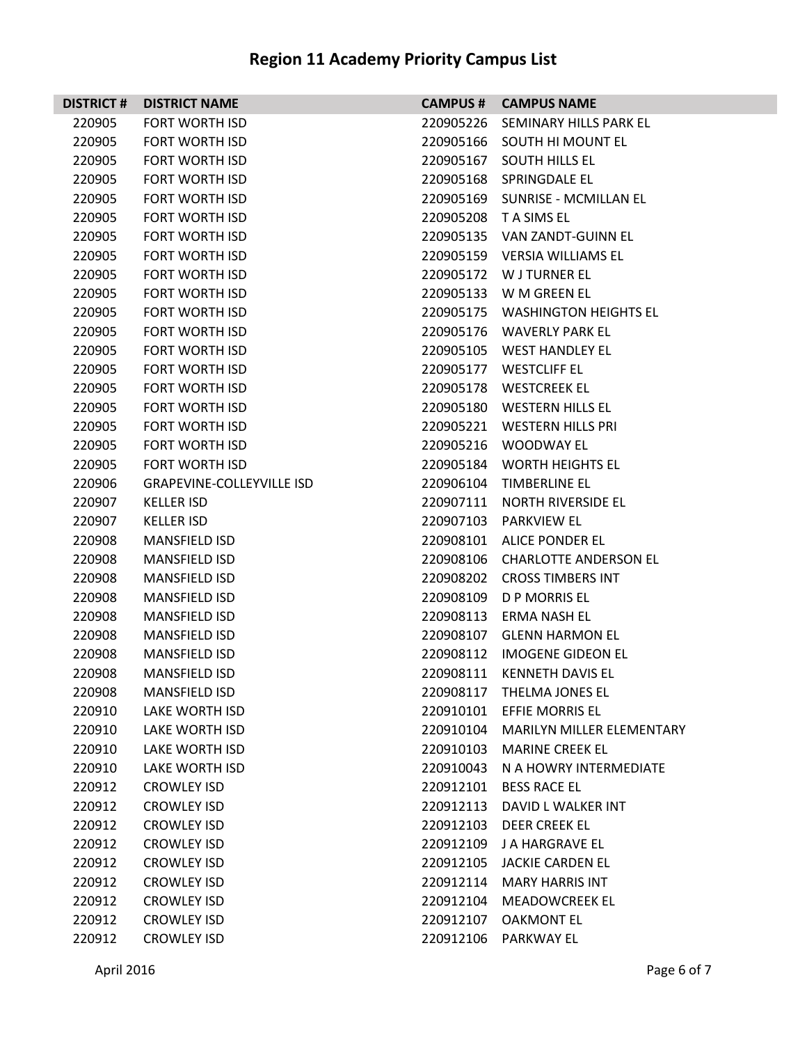| <b>DISTRICT#</b> | <b>DISTRICT NAME</b>             |           | <b>CAMPUS # CAMPUS NAME</b>         |
|------------------|----------------------------------|-----------|-------------------------------------|
| 220905           | <b>FORT WORTH ISD</b>            |           | 220905226 SEMINARY HILLS PARK EL    |
| 220905           | <b>FORT WORTH ISD</b>            |           | 220905166 SOUTH HI MOUNT EL         |
| 220905           | <b>FORT WORTH ISD</b>            |           | 220905167 SOUTH HILLS EL            |
| 220905           | <b>FORT WORTH ISD</b>            |           | 220905168 SPRINGDALE EL             |
| 220905           | <b>FORT WORTH ISD</b>            |           | 220905169 SUNRISE - MCMILLAN EL     |
| 220905           | <b>FORT WORTH ISD</b>            |           | 220905208 TA SIMS EL                |
| 220905           | <b>FORT WORTH ISD</b>            |           | 220905135 VAN ZANDT-GUINN EL        |
| 220905           | <b>FORT WORTH ISD</b>            |           | 220905159 VERSIA WILLIAMS EL        |
| 220905           | <b>FORT WORTH ISD</b>            |           | 220905172 W J TURNER EL             |
| 220905           | <b>FORT WORTH ISD</b>            |           | 220905133 W M GREEN EL              |
| 220905           | <b>FORT WORTH ISD</b>            |           | 220905175 WASHINGTON HEIGHTS EL     |
| 220905           | <b>FORT WORTH ISD</b>            |           | 220905176 WAVERLY PARK EL           |
| 220905           | <b>FORT WORTH ISD</b>            |           | 220905105 WEST HANDLEY EL           |
| 220905           | <b>FORT WORTH ISD</b>            |           | 220905177 WESTCLIFF EL              |
| 220905           | <b>FORT WORTH ISD</b>            |           | 220905178 WESTCREEK EL              |
| 220905           | <b>FORT WORTH ISD</b>            |           | 220905180 WESTERN HILLS EL          |
| 220905           | <b>FORT WORTH ISD</b>            |           | 220905221 WESTERN HILLS PRI         |
| 220905           | <b>FORT WORTH ISD</b>            |           | 220905216 WOODWAY EL                |
| 220905           | <b>FORT WORTH ISD</b>            |           | 220905184 WORTH HEIGHTS EL          |
| 220906           | <b>GRAPEVINE-COLLEYVILLE ISD</b> |           | 220906104 TIMBERLINE EL             |
| 220907           | <b>KELLER ISD</b>                |           | 220907111 NORTH RIVERSIDE EL        |
| 220907           | <b>KELLER ISD</b>                |           | 220907103 PARKVIEW EL               |
| 220908           | <b>MANSFIELD ISD</b>             |           | 220908101 ALICE PONDER EL           |
| 220908           | <b>MANSFIELD ISD</b>             |           | 220908106 CHARLOTTE ANDERSON EL     |
| 220908           | <b>MANSFIELD ISD</b>             |           | 220908202 CROSS TIMBERS INT         |
| 220908           | <b>MANSFIELD ISD</b>             |           | 220908109 D P MORRIS EL             |
| 220908           | <b>MANSFIELD ISD</b>             |           | 220908113 ERMA NASH EL              |
| 220908           | <b>MANSFIELD ISD</b>             |           | 220908107 GLENN HARMON EL           |
| 220908           | <b>MANSFIELD ISD</b>             |           | 220908112 IMOGENE GIDEON EL         |
| 220908           | <b>MANSFIELD ISD</b>             | 220908111 | <b>KENNETH DAVIS EL</b>             |
| 220908           | <b>MANSFIELD ISD</b>             | 220908117 | THELMA JONES EL                     |
| 220910           | LAKE WORTH ISD                   | 220910101 | EFFIE MORRIS EL                     |
| 220910           | LAKE WORTH ISD                   |           | 220910104 MARILYN MILLER ELEMENTARY |
| 220910           | <b>LAKE WORTH ISD</b>            | 220910103 | <b>MARINE CREEK EL</b>              |
| 220910           | <b>LAKE WORTH ISD</b>            | 220910043 | N A HOWRY INTERMEDIATE              |
| 220912           | <b>CROWLEY ISD</b>               | 220912101 | <b>BESS RACE EL</b>                 |
| 220912           | <b>CROWLEY ISD</b>               | 220912113 | DAVID L WALKER INT                  |
| 220912           | <b>CROWLEY ISD</b>               | 220912103 | <b>DEER CREEK EL</b>                |
| 220912           | <b>CROWLEY ISD</b>               | 220912109 | J A HARGRAVE EL                     |
| 220912           | <b>CROWLEY ISD</b>               | 220912105 | <b>JACKIE CARDEN EL</b>             |
| 220912           | <b>CROWLEY ISD</b>               | 220912114 | <b>MARY HARRIS INT</b>              |
| 220912           | <b>CROWLEY ISD</b>               | 220912104 | <b>MEADOWCREEK EL</b>               |
| 220912           | <b>CROWLEY ISD</b>               | 220912107 | <b>OAKMONT EL</b>                   |
| 220912           | <b>CROWLEY ISD</b>               | 220912106 | <b>PARKWAY EL</b>                   |